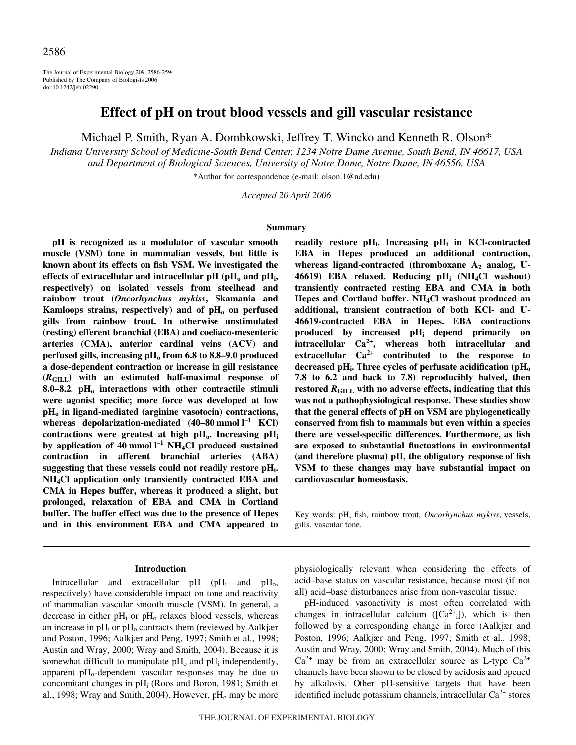The Journal of Experimental Biology 209, 2586-2594 Published by The Company of Biologists 2006 doi:10.1242/jeb.02290

# **Effect of pH on trout blood vessels and gill vascular resistance**

Michael P. Smith, Ryan A. Dombkowski, Jeffrey T. Wincko and Kenneth R. Olson\*

*Indiana University School of Medicine-South Bend Center, 1234 Notre Dame Avenue, South Bend, IN 46617, USA and Department of Biological Sciences, University of Notre Dame, Notre Dame, IN 46556, USA*

\*Author for correspondence (e-mail: olson.1@nd.edu)

*Accepted 20 April 2006*

#### **Summary**

**pH is recognized as a modulator of vascular smooth muscle (VSM) tone in mammalian vessels, but little is known about its effects on fish VSM. We investigated the** effects of extracellular and intracellular  $pH$  ( $pH_0$  and  $pH_i$ , **respectively) on isolated vessels from steelhead and rainbow trout (***Oncorhynchus mykiss***, Skamania and** Kamloops strains, respectively) and of  $pH_0$  on perfused **gills from rainbow trout. In otherwise unstimulated (resting) efferent branchial (EBA) and coeliaco-mesenteric arteries (CMA), anterior cardinal veins (ACV) and perfused gills, increasing pH<sub>0</sub> from 6.8 to 8.8–9.0 produced a dose-dependent contraction or increase in gill resistance (***R***GILL) with an estimated half-maximal response of** 8.0–8.2. pH<sub>0</sub> interactions with other contractile stimuli **were agonist specific; more force was developed at low**  $pH_0$  in ligand-mediated (arginine vasotocin) contractions, whereas depolarization-mediated  $(40-80 \text{ mmol l}^{-1} \text{ KCl})$ contractions were greatest at high  $pH_0$ . Increasing  $pH_i$ by application of 40 mmol  $I^{-1}$  NH<sub>4</sub>Cl produced sustained **contraction in afferent branchial arteries (ABA) suggesting that these vessels could not readily restore pHi. NH4Cl application only transiently contracted EBA and CMA in Hepes buffer, whereas it produced a slight, but prolonged, relaxation of EBA and CMA in Cortland buffer. The buffer effect was due to the presence of Hepes and in this environment EBA and CMA appeared to**

### **Introduction**

Intracellular and extracellular  $pH$  ( $pH_i$  and  $pH_o$ , respectively) have considerable impact on tone and reactivity of mammalian vascular smooth muscle (VSM). In general, a decrease in either  $pH_i$  or  $pH_0$  relaxes blood vessels, whereas an increase in  $pH_i$  or  $pH_0$  contracts them (reviewed by Aalkjær and Poston, 1996; Aalkjær and Peng, 1997; Smith et al., 1998; Austin and Wray, 2000; Wray and Smith, 2004). Because it is somewhat difficult to manipulate  $pH_0$  and  $pH_i$  independently, apparent  $pH_0$ -dependent vascular responses may be due to concomitant changes in  $pH_i$  (Roos and Boron, 1981; Smith et al., 1998; Wray and Smith, 2004). However,  $pH_0$  may be more **readily restore pHi. Increasing pHi in KCl-contracted EBA in Hepes produced an additional contraction,** whereas ligand-contracted (thromboxane A<sub>2</sub> analog, U-**46619) EBA relaxed. Reducing pHi (NH4Cl washout) transiently contracted resting EBA and CMA in both Hepes and Cortland buffer. NH4Cl washout produced an additional, transient contraction of both KCl- and U-46619-contracted EBA in Hepes. EBA contractions produced by increased pHi depend primarily on intracellular Ca2+, whereas both intracellular and extracellular Ca2+ contributed to the response to** decreased pH<sub>i</sub>. Three cycles of perfusate acidification (pH<sub>o</sub> **7.8 to 6.2 and back to 7.8) reproducibly halved, then** restored  $R<sub>GILL</sub>$  with no adverse effects, indicating that this **was not a pathophysiological response. These studies show that the general effects of pH on VSM are phylogenetically conserved from fish to mammals but even within a species there are vessel-specific differences. Furthermore, as fish are exposed to substantial fluctuations in environmental (and therefore plasma) pH, the obligatory response of fish VSM to these changes may have substantial impact on cardiovascular homeostasis.**

Key words: pH, fish, rainbow trout, *Oncorhynchus mykiss*, vessels, gills, vascular tone.

physiologically relevant when considering the effects of acid–base status on vascular resistance, because most (if not all) acid–base disturbances arise from non-vascular tissue.

pH-induced vasoactivity is most often correlated with changes in intracellular calcium  $([Ca<sup>2+</sup>_{i}])$ , which is then followed by a corresponding change in force (Aalkjær and Poston, 1996; Aalkjær and Peng, 1997; Smith et al., 1998; Austin and Wray, 2000; Wray and Smith, 2004). Much of this  $Ca^{2+}$  may be from an extracellular source as L-type  $Ca^{2+}$ channels have been shown to be closed by acidosis and opened by alkalosis. Other pH-sensitive targets that have been identified include potassium channels, intracellular  $Ca^{2+}$  stores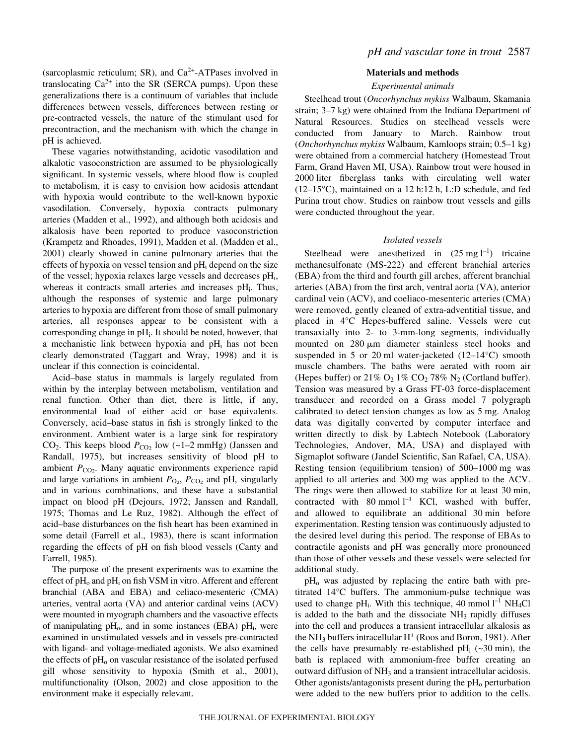(sarcoplasmic reticulum; SR), and  $Ca<sup>2+</sup>-ATPases$  involved in translocating  $Ca^{2+}$  into the SR (SERCA pumps). Upon these generalizations there is a continuum of variables that include differences between vessels, differences between resting or pre-contracted vessels, the nature of the stimulant used for precontraction, and the mechanism with which the change in pH is achieved.

These vagaries notwithstanding, acidotic vasodilation and alkalotic vasoconstriction are assumed to be physiologically significant. In systemic vessels, where blood flow is coupled to metabolism, it is easy to envision how acidosis attendant with hypoxia would contribute to the well-known hypoxic vasodilation. Conversely, hypoxia contracts pulmonary arteries (Madden et al., 1992), and although both acidosis and alkalosis have been reported to produce vasoconstriction (Krampetz and Rhoades, 1991), Madden et al. (Madden et al., 2001) clearly showed in canine pulmonary arteries that the effects of hypoxia on vessel tension and  $pH_i$  depend on the size of the vessel; hypoxia relaxes large vessels and decreases pHi, whereas it contracts small arteries and increases  $pH_i$ . Thus, although the responses of systemic and large pulmonary arteries to hypoxia are different from those of small pulmonary arteries, all responses appear to be consistent with a corresponding change in  $pH_i$ . It should be noted, however, that a mechanistic link between hypoxia and  $pH_i$  has not been clearly demonstrated (Taggart and Wray, 1998) and it is unclear if this connection is coincidental.

Acid–base status in mammals is largely regulated from within by the interplay between metabolism, ventilation and renal function. Other than diet, there is little, if any, environmental load of either acid or base equivalents. Conversely, acid–base status in fish is strongly linked to the environment. Ambient water is a large sink for respiratory CO<sub>2</sub>. This keeps blood  $P_{CO_2}$  low (~1–2 mmHg) (Janssen and Randall, 1975), but increases sensitivity of blood pH to ambient  $P_{CO_2}$ . Many aquatic environments experience rapid and large variations in ambient  $P_{\text{O}_2}$ ,  $P_{\text{CO}_2}$  and pH, singularly and in various combinations, and these have a substantial impact on blood pH (Dejours, 1972; Janssen and Randall, 1975; Thomas and Le Ruz, 1982). Although the effect of acid–base disturbances on the fish heart has been examined in some detail (Farrell et al., 1983), there is scant information regarding the effects of pH on fish blood vessels (Canty and Farrell, 1985).

The purpose of the present experiments was to examine the effect of  $pH_0$  and  $pH_i$  on fish VSM in vitro. Afferent and efferent branchial (ABA and EBA) and celiaco-mesenteric (CMA) arteries, ventral aorta (VA) and anterior cardinal veins (ACV) were mounted in myograph chambers and the vasoactive effects of manipulating  $pH_0$ , and in some instances (EBA)  $pH_i$ , were examined in unstimulated vessels and in vessels pre-contracted with ligand- and voltage-mediated agonists. We also examined the effects of  $pH<sub>o</sub>$  on vascular resistance of the isolated perfused gill whose sensitivity to hypoxia (Smith et al., 2001), multifunctionality (Olson, 2002) and close apposition to the environment make it especially relevant.

### **Materials and methods**

### *Experimental animals*

Steelhead trout (*Oncorhynchus mykiss* Walbaum, Skamania strain;  $3-7$  kg) were obtained from the Indiana Department of Natural Resources. Studies on steelhead vessels were conducted from January to March. Rainbow trout (*Onchorhynchus mykiss* Walbaum, Kamloops strain; 0.5–1·kg) were obtained from a commercial hatchery (Homestead Trout Farm, Grand Haven MI, USA). Rainbow trout were housed in 2000 liter fiberglass tanks with circulating well water (12–15°C), maintained on a 12 h:12 h, L:D schedule, and fed Purina trout chow. Studies on rainbow trout vessels and gills were conducted throughout the year.

### *Isolated vessels*

Steelhead were anesthetized in  $(25 \text{ mg l}^{-1})$  tricaine methanesulfonate (MS-222) and efferent branchial arteries (EBA) from the third and fourth gill arches, afferent branchial arteries (ABA) from the first arch, ventral aorta (VA), anterior cardinal vein (ACV), and coeliaco-mesenteric arteries (CMA) were removed, gently cleaned of extra-adventitial tissue, and placed in 4°C Hepes-buffered saline. Vessels were cut transaxially into 2- to 3-mm-long segments, individually mounted on  $280 \mu m$  diameter stainless steel hooks and suspended in 5 or 20 ml water-jacketed  $(12-14\degree C)$  smooth muscle chambers. The baths were aerated with room air (Hepes buffer) or  $21\%$  O<sub>2</sub> 1% CO<sub>2</sub> 78% N<sub>2</sub> (Cortland buffer). Tension was measured by a Grass FT-03 force-displacement transducer and recorded on a Grass model 7 polygraph calibrated to detect tension changes as low as 5 mg. Analog data was digitally converted by computer interface and written directly to disk by Labtech Notebook (Laboratory Technologies, Andover, MA, USA) and displayed with Sigmaplot software (Jandel Scientific, San Rafael, CA, USA). Resting tension (equilibrium tension) of  $500-1000$  mg was applied to all arteries and 300 mg was applied to the ACV. The rings were then allowed to stabilize for at least 30 min, contracted with 80 mmol  $l^{-1}$  KCl, washed with buffer, and allowed to equilibrate an additional 30 min before experimentation. Resting tension was continuously adjusted to the desired level during this period. The response of EBAs to contractile agonists and pH was generally more pronounced than those of other vessels and these vessels were selected for additional study.

 $pH<sub>o</sub>$  was adjusted by replacing the entire bath with pretitrated 14°C buffers. The ammonium-pulse technique was used to change pH<sub>i</sub>. With this technique, 40 mmol  $l^{-1}$  NH<sub>4</sub>Cl is added to the bath and the dissociate  $NH<sub>3</sub>$  rapidly diffuses into the cell and produces a transient intracellular alkalosis as the  $NH_3$  buffers intracellular  $H^+$  (Roos and Boron, 1981). After the cells have presumably re-established pH<sub>i</sub>  $(-30 \text{ min})$ , the bath is replaced with ammonium-free buffer creating an outward diffusion of NH<sub>3</sub> and a transient intracellular acidosis. Other agonists/antagonists present during the  $pH<sub>o</sub>$  perturbation were added to the new buffers prior to addition to the cells.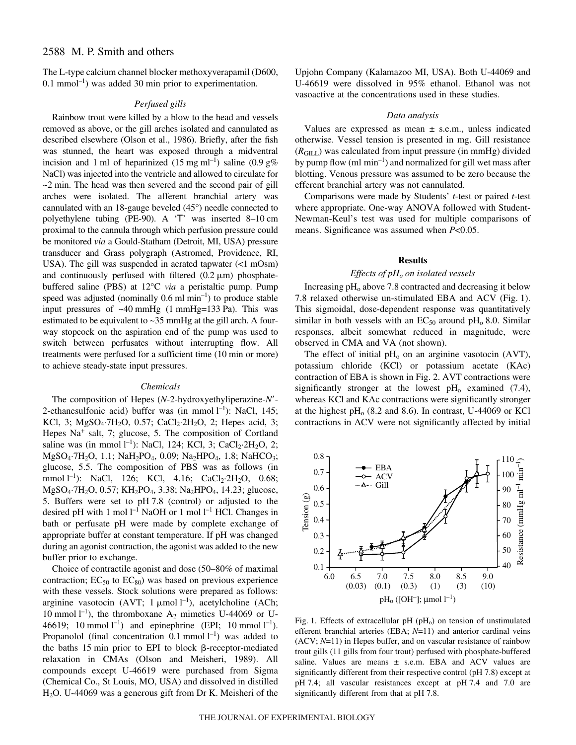## 2588 M. P. Smith and others

The L-type calcium channel blocker methoxyverapamil (D600,  $0.1$  mmol<sup>-1</sup>) was added 30 min prior to experimentation.

### *Perfused gills*

Rainbow trout were killed by a blow to the head and vessels removed as above, or the gill arches isolated and cannulated as described elsewhere (Olson et al., 1986). Briefly, after the fish was stunned, the heart was exposed through a midventral incision and 1 ml of heparinized (15 mg ml<sup>-1</sup>) saline (0.9  $g\%$ NaCl) was injected into the ventricle and allowed to circulate for  $\sim$ 2 min. The head was then severed and the second pair of gill arches were isolated. The afferent branchial artery was cannulated with an 18-gauge beveled (45°) needle connected to polyethylene tubing (PE-90). A  $T$  was inserted 8–10 cm proximal to the cannula through which perfusion pressure could be monitored *via* a Gould-Statham (Detroit, MI, USA) pressure transducer and Grass polygraph (Astromed, Providence, RI, USA). The gill was suspended in aerated tapwater  $\left($ <1 mOsm) and continuously perfused with filtered  $(0.2 \mu m)$  phosphatebuffered saline (PBS) at 12°C *via* a peristaltic pump. Pump speed was adjusted (nominally  $0.6 \text{ ml min}^{-1}$ ) to produce stable input pressures of  $~40~\mathrm{mmHg}$  (1 mmHg=133 Pa). This was estimated to be equivalent to  $\sim$ 35 mmHg at the gill arch. A fourway stopcock on the aspiration end of the pump was used to switch between perfusates without interrupting flow. All treatments were perfused for a sufficient time (10 min or more) to achieve steady-state input pressures.

### *Chemicals*

The composition of Hepes (*N*-2-hydroxyethyliperazine-*N*- 2-ethanesulfonic acid) buffer was (in mmol  $l^{-1}$ ): NaCl, 145; KCl, 3; MgSO<sub>4</sub>·7H<sub>2</sub>O, 0.57; CaCl<sub>2</sub>·2H<sub>2</sub>O, 2; Hepes acid, 3; Hepes Na<sup>+</sup> salt, 7; glucose, 5. The composition of Cortland saline was (in mmol  $l^{-1}$ ): NaCl, 124; KCl, 3; CaCl<sub>2</sub>·2H<sub>2</sub>O, 2; MgSO<sub>4</sub>·7H<sub>2</sub>O, 1.1; NaH<sub>2</sub>PO<sub>4</sub>, 0.09; Na<sub>2</sub>HPO<sub>4</sub>, 1.8; NaHCO<sub>3</sub>; glucose, 5.5. The composition of PBS was as follows (in mmol  $l^{-1}$ ): NaCl, 126; KCl, 4.16; CaCl<sub>2</sub>·2H<sub>2</sub>O, 0.68; MgSO<sub>4</sub>·7H<sub>2</sub>O, 0.57; KH<sub>2</sub>PO<sub>4</sub>, 3.38; Na<sub>2</sub>HPO<sub>4</sub>, 14.23; glucose, 5. Buffers were set to pH 7.8 (control) or adjusted to the desired pH with 1 mol  $l^{-1}$  NaOH or 1 mol  $l^{-1}$  HCl. Changes in bath or perfusate pH were made by complete exchange of appropriate buffer at constant temperature. If pH was changed during an agonist contraction, the agonist was added to the new buffer prior to exchange.

Choice of contractile agonist and dose (50–80% of maximal contraction;  $EC_{50}$  to  $EC_{80}$ ) was based on previous experience with these vessels. Stock solutions were prepared as follows: arginine vasotocin (AVT; 1  $\mu$ mol l<sup>-1</sup>), acetylcholine (ACh; 10 mmol  $l^{-1}$ ), the thromboxane  $A_2$  mimetics U-44069 or U-46619; 10 mmol  $l^{-1}$ ) and epinephrine (EPI; 10 mmol  $l^{-1}$ ). Propanolol (final concentration  $0.1$  mmol  $l^{-1}$ ) was added to the baths 15 min prior to EPI to block  $\beta$ -receptor-mediated relaxation in CMAs (Olson and Meisheri, 1989). All compounds except U-46619 were purchased from Sigma (Chemical Co., St Louis, MO, USA) and dissolved in distilled H2O. U-44069 was a generous gift from Dr K. Meisheri of the Upjohn Company (Kalamazoo MI, USA). Both U-44069 and U-46619 were dissolved in 95% ethanol. Ethanol was not vasoactive at the concentrations used in these studies.

### *Data analysis*

Values are expressed as mean  $\pm$  s.e.m., unless indicated otherwise. Vessel tension is presented in mg. Gill resistance  $(R<sub>GILL</sub>)$  was calculated from input pressure (in mmHg) divided by pump flow  $(ml/min^{-1})$  and normalized for gill wet mass after blotting. Venous pressure was assumed to be zero because the efferent branchial artery was not cannulated.

Comparisons were made by Students' *t*-test or paired *t*-test where appropriate. One-way ANOVA followed with Student-Newman-Keul's test was used for multiple comparisons of means. Significance was assumed when *P*<0.05.

### **Results**

### *Effects of pH<sub>o</sub> on isolated vessels*

Increasing  $pH_0$  above 7.8 contracted and decreasing it below 7.8 relaxed otherwise un-stimulated EBA and ACV (Fig. 1). This sigmoidal, dose-dependent response was quantitatively similar in both vessels with an  $EC_{50}$  around pH<sub>0</sub> 8.0. Similar responses, albeit somewhat reduced in magnitude, were observed in CMA and VA (not shown).

The effect of initial  $pH_0$  on an arginine vasotocin (AVT), potassium chloride (KCl) or potassium acetate (KAc) contraction of EBA is shown in Fig. 2. AVT contractions were significantly stronger at the lowest  $pH_0$  examined (7.4), whereas KCl and KAc contractions were significantly stronger at the highest  $pH<sub>o</sub>$  (8.2 and 8.6). In contrast, U-44069 or KCl contractions in ACV were not significantly affected by initial



Fig. 1. Effects of extracellular pH ( $pH<sub>o</sub>$ ) on tension of unstimulated efferent branchial arteries (EBA; *N*=11) and anterior cardinal veins (ACV; *N*=11) in Hepes buffer, and on vascular resistance of rainbow trout gills (11 gills from four trout) perfused with phosphate-buffered saline. Values are means  $\pm$  s.e.m. EBA and ACV values are significantly different from their respective control (pH 7.8) except at pH 7.4; all vascular resistances except at pH 7.4 and 7.0 are significantly different from that at pH 7.8.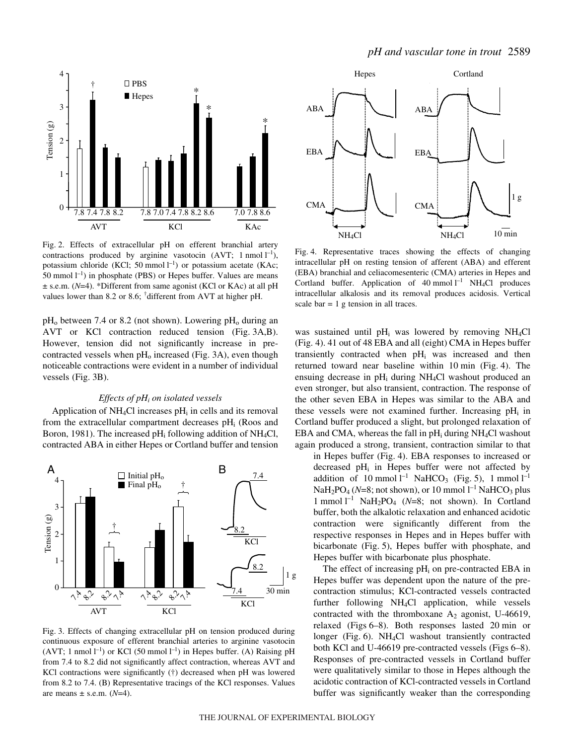

Fig. 2. Effects of extracellular pH on efferent branchial artery contractions produced by arginine vasotocin (AVT; 1 nmol  $l^{-1}$ ), potassium chloride (KCl; 50 mmol  $l^{-1}$ ) or potassium acetate (KAc; 50 mmol  $l^{-1}$ ) in phosphate (PBS) or Hepes buffer. Values are means ± s.e.m. (*N*=4). \*Different from same agonist (KCl or KAc) at all pH values lower than 8.2 or 8.6; † different from AVT at higher pH.

 $pH_0$  between 7.4 or 8.2 (not shown). Lowering  $pH_0$  during an AVT or KCl contraction reduced tension (Fig. 3A,B). However, tension did not significantly increase in precontracted vessels when  $pH_0$  increased (Fig. 3A), even though noticeable contractions were evident in a number of individual vessels (Fig. 3B).

### *Effects of pHi on isolated vessels*

Application of  $NH<sub>4</sub>Cl$  increases pH<sub>i</sub> in cells and its removal from the extracellular compartment decreases pHi (Roos and Boron, 1981). The increased  $pH_i$  following addition of NH<sub>4</sub>Cl, contracted ABA in either Hepes or Cortland buffer and tension



Fig. 3. Effects of changing extracellular pH on tension produced during continuous exposure of efferent branchial arteries to arginine vasotocin  $(AVT; 1 \text{ nmol } l^{-1})$  or KCl (50 mmol  $l^{-1}$ ) in Hepes buffer. (A) Raising pH from 7.4 to 8.2 did not significantly affect contraction, whereas AVT and KCl contractions were significantly (†) decreased when pH was lowered from 8.2 to 7.4. (B) Representative tracings of the KCl responses. Values are means  $\pm$  s.e.m. ( $N=4$ ).



Fig. 4. Representative traces showing the effects of changing intracellular pH on resting tension of afferent (ABA) and efferent (EBA) branchial and celiacomesenteric (CMA) arteries in Hepes and Cortland buffer. Application of  $40$  mmol  $l^{-1}$  NH<sub>4</sub>Cl produces intracellular alkalosis and its removal produces acidosis. Vertical scale bar  $= 1$  g tension in all traces.

was sustained until  $pH_i$  was lowered by removing NH<sub>4</sub>Cl (Fig. 4). 41 out of 48 EBA and all (eight) CMA in Hepes buffer transiently contracted when  $pH_i$  was increased and then returned toward near baseline within 10 min (Fig. 4). The ensuing decrease in  $pH_i$  during NH<sub>4</sub>Cl washout produced an even stronger, but also transient, contraction. The response of the other seven EBA in Hepes was similar to the ABA and these vessels were not examined further. Increasing  $pH_i$  in Cortland buffer produced a slight, but prolonged relaxation of EBA and CMA, whereas the fall in  $pH_i$  during NH<sub>4</sub>Cl washout again produced a strong, transient, contraction similar to that

in Hepes buffer (Fig. 4). EBA responses to increased or decreased  $pH_i$  in Hepes buffer were not affected by addition of 10 mmol  $l^{-1}$  NaHCO<sub>3</sub> (Fig. 5), 1 mmol  $l^{-1}$ NaH<sub>2</sub>PO<sub>4</sub> (N=8; not shown), or 10 mmol <sup>1-1</sup> NaHCO<sub>3</sub> plus 1 mmol<sup>1-1</sup> NaH<sub>2</sub>PO<sub>4</sub> ( $N=8$ ; not shown). In Cortland buffer, both the alkalotic relaxation and enhanced acidotic contraction were significantly different from the respective responses in Hepes and in Hepes buffer with bicarbonate (Fig. 5), Hepes buffer with phosphate, and Hepes buffer with bicarbonate plus phosphate.

The effect of increasing  $pH_i$  on pre-contracted EBA in Hepes buffer was dependent upon the nature of the precontraction stimulus; KCl-contracted vessels contracted further following NH4Cl application, while vessels contracted with the thromboxane  $A_2$  agonist, U-46619, relaxed (Figs 6–8). Both responses lasted 20 min or longer (Fig. 6). NH<sub>4</sub>Cl washout transiently contracted both KCl and U-46619 pre-contracted vessels (Figs 6–8). Responses of pre-contracted vessels in Cortland buffer were qualitatively similar to those in Hepes although the acidotic contraction of KCl-contracted vessels in Cortland buffer was significantly weaker than the corresponding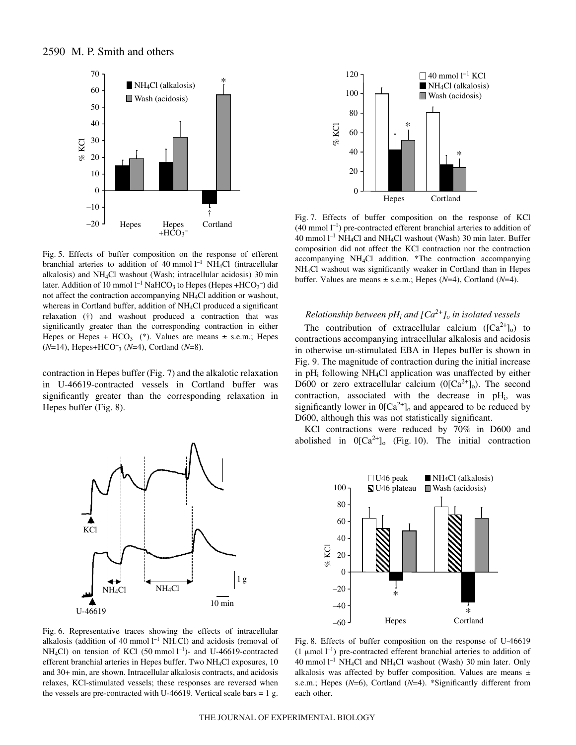

Fig. 5. Effects of buffer composition on the response of efferent branchial arteries to addition of 40 mmol  $l^{-1}$  NH<sub>4</sub>Cl (intracellular alkalosis) and NH<sub>4</sub>Cl washout (Wash; intracellular acidosis) 30 min later. Addition of 10 mmol  $l^{-1}$  NaHCO<sub>3</sub> to Hepes (Hepes +HCO<sub>3</sub><sup>-</sup>) did not affect the contraction accompanying NH4Cl addition or washout, whereas in Cortland buffer, addition of NH4Cl produced a significant relaxation (†) and washout produced a contraction that was significantly greater than the corresponding contraction in either Hepes or Hepes +  $HCO<sub>3</sub><sup>-</sup>$  (\*). Values are means  $\pm$  s.e.m.; Hepes (*N*=14), Hepes+HCO– <sup>3</sup> (*N*=4), Cortland (*N*=8).

contraction in Hepes buffer (Fig. 7) and the alkalotic relaxation in U-46619-contracted vessels in Cortland buffer was significantly greater than the corresponding relaxation in Hepes buffer (Fig. 8).



Fig. 6. Representative traces showing the effects of intracellular alkalosis (addition of 40 mmol  $l^{-1}$  NH<sub>4</sub>Cl) and acidosis (removal of NH<sub>4</sub>Cl) on tension of KCl (50 mmol  $l^{-1}$ )- and U-46619-contracted efferent branchial arteries in Hepes buffer. Two NH4Cl exposures, 10 and 30+ min, are shown. Intracellular alkalosis contracts, and acidosis relaxes, KCl-stimulated vessels; these responses are reversed when the vessels are pre-contracted with U-46619. Vertical scale bars  $= 1 g$ .



Fig. 7. Effects of buffer composition on the response of KCl  $(40 \text{ mmol } l^{-1})$  pre-contracted efferent branchial arteries to addition of 40 mmol  $l^{-1}$  NH<sub>4</sub>Cl and NH<sub>4</sub>Cl washout (Wash) 30 min later. Buffer composition did not affect the KCl contraction nor the contraction accompanying NH4Cl addition. \*The contraction accompanying NH4Cl washout was significantly weaker in Cortland than in Hepes buffer. Values are means ± s.e.m.; Hepes (*N*=4), Cortland (*N*=4).

## *Relationship between pH<sub>i</sub> and*  $\left[Ca^{2+}\right]$ *<sub><i>o*</sub> *in isolated vessels*

The contribution of extracellular calcium  $([Ca^{2+}]_0)$  to contractions accompanying intracellular alkalosis and acidosis in otherwise un-stimulated EBA in Hepes buffer is shown in Fig. 9. The magnitude of contraction during the initial increase in pH<sub>i</sub> following NH<sub>4</sub>Cl application was unaffected by either D600 or zero extracellular calcium ( $0$ [Ca<sup>2+</sup>]<sub>o</sub>). The second contraction, associated with the decrease in  $pH_i$ , was significantly lower in  $O[Ca^{2+}]_o$  and appeared to be reduced by D600, although this was not statistically significant.

KCl contractions were reduced by 70% in D600 and abolished in  $0[Ca^{2+}]_o$  (Fig. 10). The initial contraction



Fig. 8. Effects of buffer composition on the response of U-46619 (1  $\mu$ mol l<sup>-1</sup>) pre-contracted efferent branchial arteries to addition of 40 mmol  $l^{-1}$  NH<sub>4</sub>Cl and NH<sub>4</sub>Cl washout (Wash) 30 min later. Only alkalosis was affected by buffer composition. Values are means ± s.e.m.; Hepes (*N*=6), Cortland (*N*=4). \*Significantly different from each other.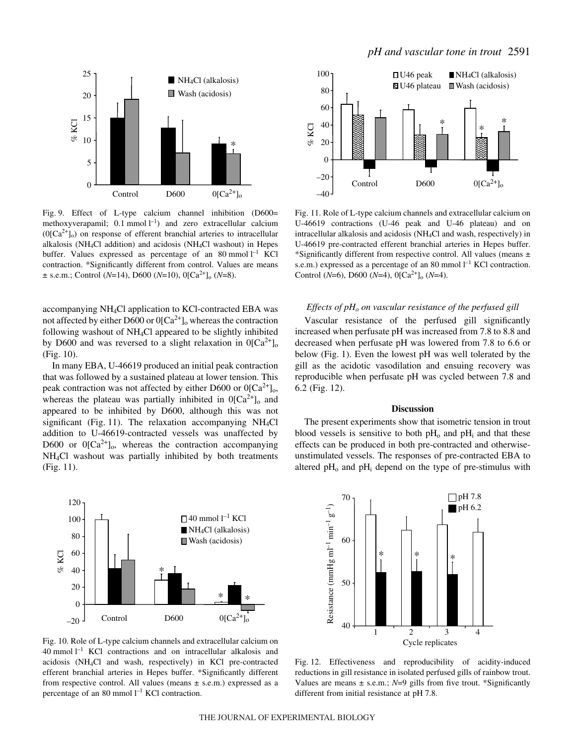

Fig. 9. Effect of L-type calcium channel inhibition (D600= methoxyverapamil;  $0.1$  mmol  $l^{-1}$ ) and zero extracellular calcium  $(0[Ca<sup>2+</sup>]_{0})$  on response of efferent branchial arteries to intracellular alkalosis (NH4Cl addition) and acidosis (NH4Cl washout) in Hepes buffer. Values expressed as percentage of an  $80$  mmol  $l^{-1}$  KCl contraction. \*Significantly different from control. Values are means  $\pm$  s.e.m.; Control (*N*=14), D600 (*N*=10), 0[Ca<sup>2+</sup>]<sub>o</sub> (*N*=8).

accompanying NH4Cl application to KCl-contracted EBA was not affected by either D600 or  $0[Ca^{2+}]$ <sub>o</sub> whereas the contraction following washout of NH4Cl appeared to be slightly inhibited by D600 and was reversed to a slight relaxation in  $0[Ca^{2+}]_o$  $(Fig. 10)$ .

In many EBA, U-46619 produced an initial peak contraction that was followed by a sustained plateau at lower tension. This peak contraction was not affected by either D600 or  $0[Ca^{2+}]_0$ , whereas the plateau was partially inhibited in  $O[Ca^{2+}]_o$  and appeared to be inhibited by D600, although this was not significant (Fig. 11). The relaxation accompanying  $NH<sub>4</sub>Cl$ addition to U-46619-contracted vessels was unaffected by D600 or  $0[Ca^{2+}]_0$ , whereas the contraction accompanying NH4Cl washout was partially inhibited by both treatments  $(Fig. 11)$ .



Fig. 10. Role of L-type calcium channels and extracellular calcium on  $40$  mmol  $l^{-1}$  KCl contractions and on intracellular alkalosis and acidosis (NH4Cl and wash, respectively) in KCl pre-contracted efferent branchial arteries in Hepes buffer. \*Significantly different from respective control. All values (means  $\pm$  s.e.m.) expressed as a percentage of an 80 mmol  $l^{-1}$  KCl contraction.



Fig. 11. Role of L-type calcium channels and extracellular calcium on U-46619 contractions (U-46 peak and U-46 plateau) and on intracellular alkalosis and acidosis (NH4Cl and wash, respectively) in U-46619 pre-contracted efferent branchial arteries in Hepes buffer. \*Significantly different from respective control. All values (means  $\pm$ s.e.m.) expressed as a percentage of an 80 mmol  $l^{-1}$  KCl contraction. Control ( $N=6$ ), D600 ( $N=4$ ), 0[Ca<sup>2+</sup>]<sub>o</sub> ( $N=4$ ).

#### *Effects of pH<sub>o</sub> on vascular resistance of the perfused gill*

Vascular resistance of the perfused gill significantly increased when perfusate pH was increased from 7.8 to 8.8 and decreased when perfusate pH was lowered from 7.8 to 6.6 or below (Fig. 1). Even the lowest pH was well tolerated by the gill as the acidotic vasodilation and ensuing recovery was reproducible when perfusate pH was cycled between 7.8 and  $6.2$  (Fig. 12).

### **Discussion**

The present experiments show that isometric tension in trout blood vessels is sensitive to both  $pH_0$  and  $pH_i$  and that these effects can be produced in both pre-contracted and otherwiseunstimulated vessels. The responses of pre-contracted EBA to altered  $pH_0$  and  $pH_i$  depend on the type of pre-stimulus with



Fig. 12. Effectiveness and reproducibility of acidity-induced reductions in gill resistance in isolated perfused gills of rainbow trout. Values are means  $\pm$  s.e.m.; *N*=9 gills from five trout. \*Significantly different from initial resistance at pH 7.8.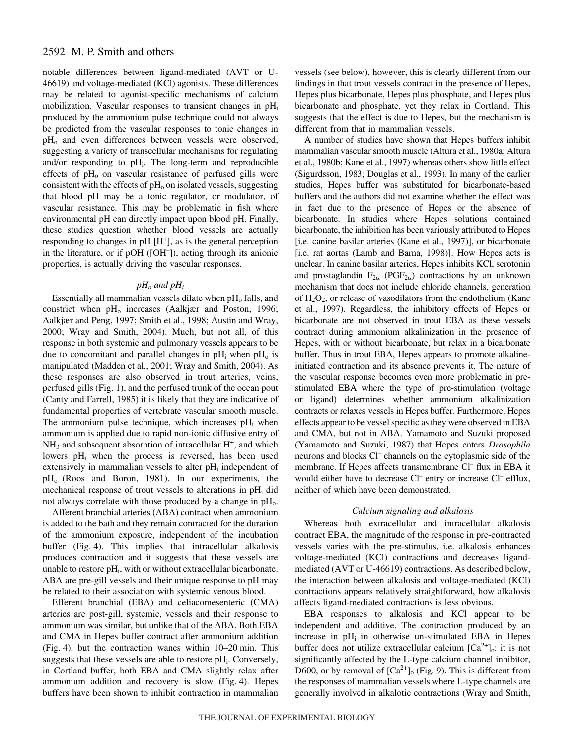## 2592 M. P. Smith and others

notable differences between ligand-mediated (AVT or U-46619) and voltage-mediated (KCl) agonists. These differences may be related to agonist-specific mechanisms of calcium mobilization. Vascular responses to transient changes in  $pH_i$ produced by the ammonium pulse technique could not always be predicted from the vascular responses to tonic changes in pH<sub>o</sub> and even differences between vessels were observed, suggesting a variety of transcellular mechanisms for regulating and/or responding to  $pH_i$ . The long-term and reproducible effects of  $pH<sub>o</sub>$  on vascular resistance of perfused gills were consistent with the effects of  $pH<sub>o</sub>$  on isolated vessels, suggesting that blood pH may be a tonic regulator, or modulator, of vascular resistance. This may be problematic in fish where environmental pH can directly impact upon blood pH. Finally, these studies question whether blood vessels are actually responding to changes in  $pH[H^+]$ , as is the general perception in the literature, or if pOH ([OH– ]), acting through its anionic properties, is actually driving the vascular responses.

## $pH<sub>o</sub>$  *and*  $pH<sub>i</sub>$

Essentially all mammalian vessels dilate when  $pH_0$  falls, and constrict when pH<sub>o</sub> increases (Aalkjær and Poston, 1996; Aalkjær and Peng, 1997; Smith et al., 1998; Austin and Wray, 2000; Wray and Smith, 2004). Much, but not all, of this response in both systemic and pulmonary vessels appears to be due to concomitant and parallel changes in  $pH_i$  when  $pH_0$  is manipulated (Madden et al., 2001; Wray and Smith, 2004). As these responses are also observed in trout arteries, veins, perfused gills (Fig. 1), and the perfused trunk of the ocean pout (Canty and Farrell, 1985) it is likely that they are indicative of fundamental properties of vertebrate vascular smooth muscle. The ammonium pulse technique, which increases  $pH_i$  when ammonium is applied due to rapid non-ionic diffusive entry of  $NH<sub>3</sub>$  and subsequent absorption of intracellular  $H<sup>+</sup>$ , and which lowers  $pH_i$  when the process is reversed, has been used extensively in mammalian vessels to alter  $pH_i$  independent of  $pH<sub>o</sub>$  (Roos and Boron, 1981). In our experiments, the mechanical response of trout vessels to alterations in pH<sub>i</sub> did not always correlate with those produced by a change in  $pH_0$ .

Afferent branchial arteries (ABA) contract when ammonium is added to the bath and they remain contracted for the duration of the ammonium exposure, independent of the incubation buffer (Fig. 4). This implies that intracellular alkalosis produces contraction and it suggests that these vessels are unable to restore  $pH_i$ , with or without extracellular bicarbonate. ABA are pre-gill vessels and their unique response to pH may be related to their association with systemic venous blood.

Efferent branchial (EBA) and celiacomesenteric (CMA) arteries are post-gill, systemic, vessels and their response to ammonium was similar, but unlike that of the ABA. Both EBA and CMA in Hepes buffer contract after ammonium addition  $(Fig. 4)$ , but the contraction wanes within  $10-20$  min. This suggests that these vessels are able to restore  $pH_i$ . Conversely, in Cortland buffer, both EBA and CMA slightly relax after ammonium addition and recovery is slow (Fig. 4). Hepes buffers have been shown to inhibit contraction in mammalian vessels (see below), however, this is clearly different from our findings in that trout vessels contract in the presence of Hepes, Hepes plus bicarbonate, Hepes plus phosphate, and Hepes plus bicarbonate and phosphate, yet they relax in Cortland. This suggests that the effect is due to Hepes, but the mechanism is different from that in mammalian vessels.

A number of studies have shown that Hepes buffers inhibit mammalian vascular smooth muscle (Altura et al., 1980a; Altura et al., 1980b; Kane et al., 1997) whereas others show little effect (Sigurdsson, 1983; Douglas et al., 1993). In many of the earlier studies, Hepes buffer was substituted for bicarbonate-based buffers and the authors did not examine whether the effect was in fact due to the presence of Hepes or the absence of bicarbonate. In studies where Hepes solutions contained bicarbonate, the inhibition has been variously attributed to Hepes [i.e. canine basilar arteries (Kane et al., 1997)], or bicarbonate [i.e. rat aortas (Lamb and Barna, 1998)]. How Hepes acts is unclear. In canine basilar arteries, Hepes inhibits KCl, serotonin and prostaglandin  $F_{2\alpha}$  (PGF<sub>2 $\alpha$ </sub>) contractions by an unknown mechanism that does not include chloride channels, generation of  $H_2O_2$ , or release of vasodilators from the endothelium (Kane et al., 1997). Regardless, the inhibitory effects of Hepes or bicarbonate are not observed in trout EBA as these vessels contract during ammonium alkalinization in the presence of Hepes, with or without bicarbonate, but relax in a bicarbonate buffer. Thus in trout EBA, Hepes appears to promote alkalineinitiated contraction and its absence prevents it. The nature of the vascular response becomes even more problematic in prestimulated EBA where the type of pre-stimulation (voltage or ligand) determines whether ammonium alkalinization contracts or relaxes vessels in Hepes buffer. Furthermore, Hepes effects appear to be vessel specific as they were observed in EBA and CMA, but not in ABA. Yamamoto and Suzuki proposed (Yamamoto and Suzuki, 1987) that Hepes enters *Drosophila* neurons and blocks Cl– channels on the cytoplasmic side of the membrane. If Hepes affects transmembrane Cl<sup>-</sup> flux in EBA it would either have to decrease Cl<sup>–</sup> entry or increase Cl<sup>–</sup> efflux, neither of which have been demonstrated.

### *Calcium signaling and alkalosis*

Whereas both extracellular and intracellular alkalosis contract EBA, the magnitude of the response in pre-contracted vessels varies with the pre-stimulus, i.e. alkalosis enhances voltage-mediated (KCl) contractions and decreases ligandmediated (AVT or U-46619) contractions. As described below, the interaction between alkalosis and voltage-mediated (KCl) contractions appears relatively straightforward, how alkalosis affects ligand-mediated contractions is less obvious.

EBA responses to alkalosis and KCl appear to be independent and additive. The contraction produced by an increase in  $pH_i$  in otherwise un-stimulated EBA in Hepes buffer does not utilize extracellular calcium  $[Ca^{2+}]_0$ : it is not significantly affected by the L-type calcium channel inhibitor, D600, or by removal of  $[Ca^{2+}]_0$  (Fig. 9). This is different from the responses of mammalian vessels where L-type channels are generally involved in alkalotic contractions (Wray and Smith,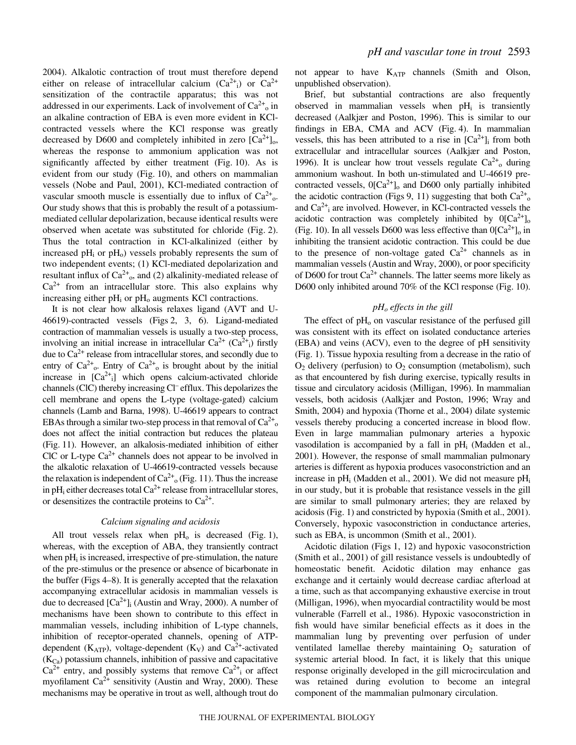2004). Alkalotic contraction of trout must therefore depend either on release of intracellular calcium  $(Ca^{2+})$  or  $Ca^{2+}$ sensitization of the contractile apparatus; this was not addressed in our experiments. Lack of involvement of  $Ca^{2+}$ <sub>0</sub> in an alkaline contraction of EBA is even more evident in KClcontracted vessels where the KCl response was greatly decreased by D600 and completely inhibited in zero  $[Ca^{2+}]_0$ , whereas the response to ammonium application was not significantly affected by either treatment (Fig. 10). As is evident from our study (Fig. 10), and others on mammalian vessels (Nobe and Paul, 2001), KCl-mediated contraction of vascular smooth muscle is essentially due to influx of  $Ca^{2+}$ <sub>o</sub>. Our study shows that this is probably the result of a potassiummediated cellular depolarization, because identical results were observed when acetate was substituted for chloride (Fig. 2). Thus the total contraction in KCl-alkalinized (either by increased  $pH_i$  or  $pH_o$ ) vessels probably represents the sum of two independent events; (1) KCl-mediated depolarization and resultant influx of  $Ca^{2+}$ <sub>0</sub>, and (2) alkalinity-mediated release of  $Ca<sup>2+</sup>$  from an intracellular store. This also explains why increasing either  $pH_i$  or  $pH_0$  augments KCl contractions.

It is not clear how alkalosis relaxes ligand (AVT and U-46619)-contracted vessels (Figs 2, 3, 6). Ligand-mediated contraction of mammalian vessels is usually a two-step process, involving an initial increase in intracellular  $Ca^{2+}$  ( $Ca^{2+}$ <sub>i</sub>) firstly due to  $Ca^{2+}$  release from intracellular stores, and secondly due to entry of  $Ca^{2+}$ <sub>0</sub>. Entry of  $Ca^{2+}$ <sub>0</sub> is brought about by the initial increase in  $[Ca^{2+}i]$  which opens calcium-activated chloride channels (ClC) thereby increasing Cl– efflux. This depolarizes the cell membrane and opens the L-type (voltage-gated) calcium channels (Lamb and Barna, 1998). U-46619 appears to contract EBAs through a similar two-step process in that removal of  $Ca^{2+}$ <sub>o</sub> does not affect the initial contraction but reduces the plateau (Fig. 11). However, an alkalosis-mediated inhibition of either ClC or L-type  $Ca^{2+}$  channels does not appear to be involved in the alkalotic relaxation of U-46619-contracted vessels because the relaxation is independent of  $Ca^{2+}$ <sub>0</sub> (Fig. 11). Thus the increase in pH<sub>i</sub> either decreases total  $Ca^{2+}$  release from intracellular stores, or desensitizes the contractile proteins to  $Ca^{2+}$ .

### *Calcium signaling and acidosis*

All trout vessels relax when  $pH_0$  is decreased (Fig. 1), whereas, with the exception of ABA, they transiently contract when  $pH_i$  is increased, irrespective of pre-stimulation, the nature of the pre-stimulus or the presence or absence of bicarbonate in the buffer (Figs 4–8). It is generally accepted that the relaxation accompanying extracellular acidosis in mammalian vessels is due to decreased  $[Ca^{2+}]$ <sub>i</sub> (Austin and Wray, 2000). A number of mechanisms have been shown to contribute to this effect in mammalian vessels, including inhibition of L-type channels, inhibition of receptor-operated channels, opening of ATPdependent ( $K_{ATP}$ ), voltage-dependent ( $K_V$ ) and  $Ca^{2+}$ -activated  $(K<sub>Ca</sub>)$  potassium channels, inhibition of passive and capacitative  $Ca^{2+}$  entry, and possibly systems that remove  $Ca^{2+}$  or affect myofilament  $Ca^{2+}$  sensitivity (Austin and Wray, 2000). These mechanisms may be operative in trout as well, although trout do

not appear to have KATP channels (Smith and Olson, unpublished observation).

Brief, but substantial contractions are also frequently observed in mammalian vessels when  $pH_i$  is transiently decreased (Aalkjær and Poston, 1996). This is similar to our findings in EBA, CMA and ACV (Fig. 4). In mammalian vessels, this has been attributed to a rise in  $[Ca^{2+}]_i$  from both extracellular and intracellular sources (Aalkjær and Poston, 1996). It is unclear how trout vessels regulate  $Ca^{2+}$ <sub>o</sub> during ammonium washout. In both un-stimulated and U-46619 precontracted vessels,  $0[Ca^{2+}]_o$  and D600 only partially inhibited the acidotic contraction (Figs 9, 11) suggesting that both  $Ca^{2+}$ <sub>o</sub> and  $Ca^{2+}$ <sub>i</sub> are involved. However, in KCl-contracted vessels the acidotic contraction was completely inhibited by  $0[Ca^{2+}]_o$ (Fig. 10). In all vessels D600 was less effective than  $0[Ca^{2+}]_0$  in inhibiting the transient acidotic contraction. This could be due to the presence of non-voltage gated  $Ca^{2+}$  channels as in mammalian vessels (Austin and Wray, 2000), or poor specificity of D600 for trout  $Ca^{2+}$  channels. The latter seems more likely as D600 only inhibited around 70% of the KCl response (Fig. 10).

#### *pHo effects in the gill*

The effect of  $pH<sub>o</sub>$  on vascular resistance of the perfused gill was consistent with its effect on isolated conductance arteries (EBA) and veins (ACV), even to the degree of pH sensitivity (Fig.·1). Tissue hypoxia resulting from a decrease in the ratio of  $O_2$  delivery (perfusion) to  $O_2$  consumption (metabolism), such as that encountered by fish during exercise, typically results in tissue and circulatory acidosis (Milligan, 1996). In mammalian vessels, both acidosis (Aalkjær and Poston, 1996; Wray and Smith, 2004) and hypoxia (Thorne et al., 2004) dilate systemic vessels thereby producing a concerted increase in blood flow. Even in large mammalian pulmonary arteries a hypoxic vasodilation is accompanied by a fall in  $pH_i$  (Madden et al., 2001). However, the response of small mammalian pulmonary arteries is different as hypoxia produces vasoconstriction and an increase in  $pH_i$  (Madden et al., 2001). We did not measure  $pH_i$ in our study, but it is probable that resistance vessels in the gill are similar to small pulmonary arteries; they are relaxed by acidosis (Fig. 1) and constricted by hypoxia (Smith et al., 2001). Conversely, hypoxic vasoconstriction in conductance arteries, such as EBA, is uncommon (Smith et al., 2001).

Acidotic dilation (Figs 1, 12) and hypoxic vasoconstriction (Smith et al., 2001) of gill resistance vessels is undoubtedly of homeostatic benefit. Acidotic dilation may enhance gas exchange and it certainly would decrease cardiac afterload at a time, such as that accompanying exhaustive exercise in trout (Milligan, 1996), when myocardial contractility would be most vulnerable (Farrell et al., 1986). Hypoxic vasoconstriction in fish would have similar beneficial effects as it does in the mammalian lung by preventing over perfusion of under ventilated lamellae thereby maintaining  $O_2$  saturation of systemic arterial blood. In fact, it is likely that this unique response originally developed in the gill microcirculation and was retained during evolution to become an integral component of the mammalian pulmonary circulation.